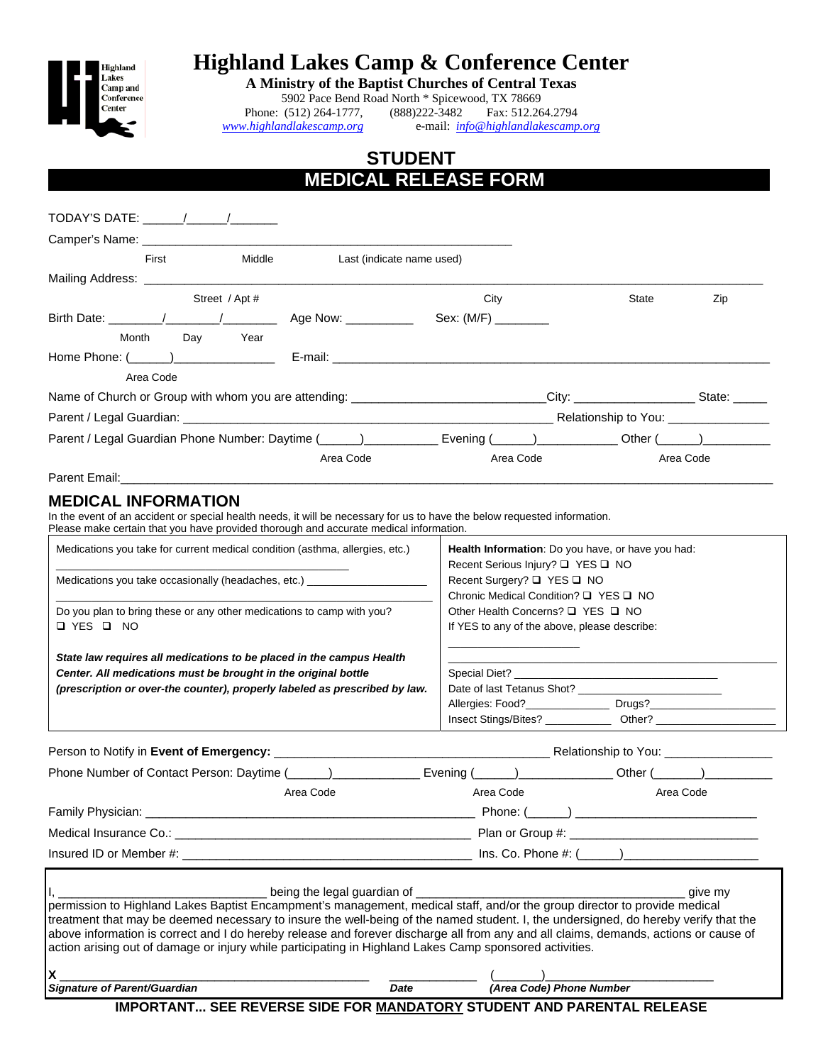

## **Highland Lakes Camp & Conference Center**

**A Ministry of the Baptist Churches of Central Texas** 

5902 Pace Bend Road North \* Spicewood, TX 78669<br>
(512) 264-1777, (888) 222-3482 Fax: 512.26 Phone: (512) 264-1777, (888) 222-3482 Fax: 512.264.2794<br>www.highlandlakescamp.org e-mail:  $\frac{info@highlandlakescamp}{info@highlandlakescamp}$ *www.highlandlakescamp.org* e-mail: *info@highlandlakescamp.org*

## **STUDENT MEDICAL RELEASE FORM .**

| Middle<br>Last (indicate name used)<br>First                                                                                                                                                                                                                                                                                                                                                                                                                                                                                                                                                                              |                                                                                                          |       |           |
|---------------------------------------------------------------------------------------------------------------------------------------------------------------------------------------------------------------------------------------------------------------------------------------------------------------------------------------------------------------------------------------------------------------------------------------------------------------------------------------------------------------------------------------------------------------------------------------------------------------------------|----------------------------------------------------------------------------------------------------------|-------|-----------|
|                                                                                                                                                                                                                                                                                                                                                                                                                                                                                                                                                                                                                           |                                                                                                          |       |           |
| Street / Apt #                                                                                                                                                                                                                                                                                                                                                                                                                                                                                                                                                                                                            | City                                                                                                     | State | Zip       |
|                                                                                                                                                                                                                                                                                                                                                                                                                                                                                                                                                                                                                           | Sex: (M/F) ________                                                                                      |       |           |
| Day Year<br>Month                                                                                                                                                                                                                                                                                                                                                                                                                                                                                                                                                                                                         |                                                                                                          |       |           |
|                                                                                                                                                                                                                                                                                                                                                                                                                                                                                                                                                                                                                           |                                                                                                          |       |           |
| Area Code                                                                                                                                                                                                                                                                                                                                                                                                                                                                                                                                                                                                                 |                                                                                                          |       |           |
| Name of Church or Group with whom you are attending: ____________________________City: _____________________State: ______                                                                                                                                                                                                                                                                                                                                                                                                                                                                                                 |                                                                                                          |       |           |
|                                                                                                                                                                                                                                                                                                                                                                                                                                                                                                                                                                                                                           |                                                                                                          |       |           |
|                                                                                                                                                                                                                                                                                                                                                                                                                                                                                                                                                                                                                           |                                                                                                          |       |           |
| Area Code                                                                                                                                                                                                                                                                                                                                                                                                                                                                                                                                                                                                                 | Area Code                                                                                                |       | Area Code |
|                                                                                                                                                                                                                                                                                                                                                                                                                                                                                                                                                                                                                           |                                                                                                          |       |           |
| <b>MEDICAL INFORMATION</b>                                                                                                                                                                                                                                                                                                                                                                                                                                                                                                                                                                                                |                                                                                                          |       |           |
| In the event of an accident or special health needs, it will be necessary for us to have the below requested information.<br>Please make certain that you have provided thorough and accurate medical information.                                                                                                                                                                                                                                                                                                                                                                                                        |                                                                                                          |       |           |
| Medications you take for current medical condition (asthma, allergies, etc.)                                                                                                                                                                                                                                                                                                                                                                                                                                                                                                                                              | Health Information: Do you have, or have you had:                                                        |       |           |
|                                                                                                                                                                                                                                                                                                                                                                                                                                                                                                                                                                                                                           | Recent Serious Injury? □ YES □ NO<br>Recent Surgery? □ YES □ NO<br>Chronic Medical Condition? □ YES □ NO |       |           |
| Medications you take occasionally (headaches, etc.) _______________________                                                                                                                                                                                                                                                                                                                                                                                                                                                                                                                                               |                                                                                                          |       |           |
|                                                                                                                                                                                                                                                                                                                                                                                                                                                                                                                                                                                                                           | Other Health Concerns? □ YES □ NO                                                                        |       |           |
| Do you plan to bring these or any other medications to camp with you?                                                                                                                                                                                                                                                                                                                                                                                                                                                                                                                                                     |                                                                                                          |       |           |
| $\Box$ YES $\Box$ NO                                                                                                                                                                                                                                                                                                                                                                                                                                                                                                                                                                                                      | If YES to any of the above, please describe:                                                             |       |           |
|                                                                                                                                                                                                                                                                                                                                                                                                                                                                                                                                                                                                                           |                                                                                                          |       |           |
| State law requires all medications to be placed in the campus Health<br>Center. All medications must be brought in the original bottle                                                                                                                                                                                                                                                                                                                                                                                                                                                                                    |                                                                                                          |       |           |
| (prescription or over-the counter), properly labeled as prescribed by law.                                                                                                                                                                                                                                                                                                                                                                                                                                                                                                                                                |                                                                                                          |       |           |
|                                                                                                                                                                                                                                                                                                                                                                                                                                                                                                                                                                                                                           |                                                                                                          |       |           |
|                                                                                                                                                                                                                                                                                                                                                                                                                                                                                                                                                                                                                           |                                                                                                          |       |           |
|                                                                                                                                                                                                                                                                                                                                                                                                                                                                                                                                                                                                                           |                                                                                                          |       |           |
|                                                                                                                                                                                                                                                                                                                                                                                                                                                                                                                                                                                                                           | Evening (______)_______________________Other (_______)__________________________                         |       |           |
| Area Code                                                                                                                                                                                                                                                                                                                                                                                                                                                                                                                                                                                                                 | Area Code                                                                                                |       | Area Code |
|                                                                                                                                                                                                                                                                                                                                                                                                                                                                                                                                                                                                                           |                                                                                                          |       |           |
|                                                                                                                                                                                                                                                                                                                                                                                                                                                                                                                                                                                                                           |                                                                                                          |       |           |
|                                                                                                                                                                                                                                                                                                                                                                                                                                                                                                                                                                                                                           |                                                                                                          |       |           |
|                                                                                                                                                                                                                                                                                                                                                                                                                                                                                                                                                                                                                           |                                                                                                          |       |           |
| ___________ being the legal guardian of _                                                                                                                                                                                                                                                                                                                                                                                                                                                                                                                                                                                 |                                                                                                          |       | give my   |
|                                                                                                                                                                                                                                                                                                                                                                                                                                                                                                                                                                                                                           |                                                                                                          |       |           |
|                                                                                                                                                                                                                                                                                                                                                                                                                                                                                                                                                                                                                           |                                                                                                          |       |           |
|                                                                                                                                                                                                                                                                                                                                                                                                                                                                                                                                                                                                                           |                                                                                                          |       |           |
| Phone Number of Contact Person: Daytime (______)________________<br>Family Physician:<br>permission to Highland Lakes Baptist Encampment's management, medical staff, and/or the group director to provide medical<br>treatment that may be deemed necessary to insure the well-being of the named student. I, the undersigned, do hereby verify that the<br>above information is correct and I do hereby release and forever discharge all from any and all claims, demands, actions or cause of<br>action arising out of damage or injury while participating in Highland Lakes Camp sponsored activities.<br>X<br>Date |                                                                                                          |       |           |